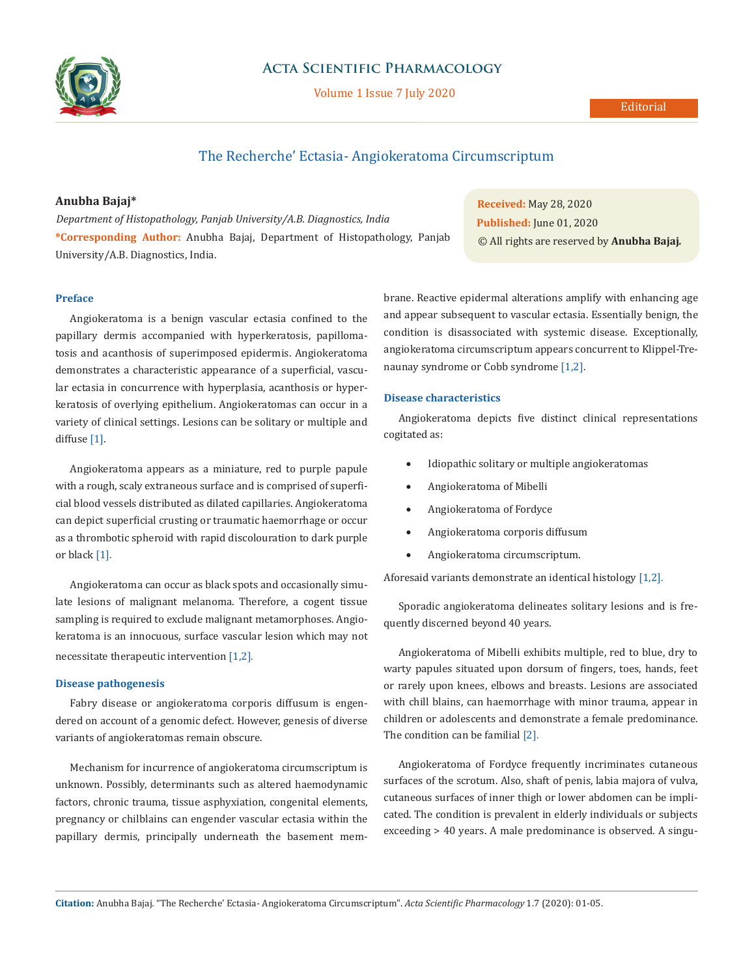

# **Acta Scientific Pharmacology**

Volume 1 Issue 7 July 2020

## Editorial

# The Recherche' Ectasia- Angiokeratoma Circumscriptum

## **Anubha Bajaj\***

*Department of Histopathology, Panjab University/A.B. Diagnostics, India*  **\*Corresponding Author:** Anubha Bajaj, Department of Histopathology, Panjab University/A.B. Diagnostics, India.

#### **Preface**

Angiokeratoma is a benign vascular ectasia confined to the papillary dermis accompanied with hyperkeratosis, papillomatosis and acanthosis of superimposed epidermis. Angiokeratoma demonstrates a characteristic appearance of a superficial, vascular ectasia in concurrence with hyperplasia, acanthosis or hyperkeratosis of overlying epithelium. Angiokeratomas can occur in a variety of clinical settings. Lesions can be solitary or multiple and diffuse [1].

Angiokeratoma appears as a miniature, red to purple papule with a rough, scaly extraneous surface and is comprised of superficial blood vessels distributed as dilated capillaries. Angiokeratoma can depict superficial crusting or traumatic haemorrhage or occur as a thrombotic spheroid with rapid discolouration to dark purple or black [1].

Angiokeratoma can occur as black spots and occasionally simulate lesions of malignant melanoma. Therefore, a cogent tissue sampling is required to exclude malignant metamorphoses. Angiokeratoma is an innocuous, surface vascular lesion which may not necessitate therapeutic intervention [1,2].

#### **Disease pathogenesis**

Fabry disease or angiokeratoma corporis diffusum is engendered on account of a genomic defect. However, genesis of diverse variants of angiokeratomas remain obscure.

Mechanism for incurrence of angiokeratoma circumscriptum is unknown. Possibly, determinants such as altered haemodynamic factors, chronic trauma, tissue asphyxiation, congenital elements, pregnancy or chilblains can engender vascular ectasia within the papillary dermis, principally underneath the basement mem-

**Received:** May 28, 2020 **Published:** June 01, 2020 © All rights are reserved by **Anubha Bajaj***.*

brane. Reactive epidermal alterations amplify with enhancing age and appear subsequent to vascular ectasia. Essentially benign, the condition is disassociated with systemic disease. Exceptionally, angiokeratoma circumscriptum appears concurrent to Klippel-Trenaunay syndrome or Cobb syndrome [1,2].

#### **Disease characteristics**

Angiokeratoma depicts five distinct clinical representations cogitated as:

- • Idiopathic solitary or multiple angiokeratomas
- • Angiokeratoma of Mibelli
- • Angiokeratoma of Fordyce
- • Angiokeratoma corporis diffusum
- • Angiokeratoma circumscriptum.

Aforesaid variants demonstrate an identical histology [1,2].

Sporadic angiokeratoma delineates solitary lesions and is frequently discerned beyond 40 years.

Angiokeratoma of Mibelli exhibits multiple, red to blue, dry to warty papules situated upon dorsum of fingers, toes, hands, feet or rarely upon knees, elbows and breasts. Lesions are associated with chill blains, can haemorrhage with minor trauma, appear in children or adolescents and demonstrate a female predominance. The condition can be familial [2].

Angiokeratoma of Fordyce frequently incriminates cutaneous surfaces of the scrotum. Also, shaft of penis, labia majora of vulva, cutaneous surfaces of inner thigh or lower abdomen can be implicated. The condition is prevalent in elderly individuals or subjects exceeding > 40 years. A male predominance is observed. A singu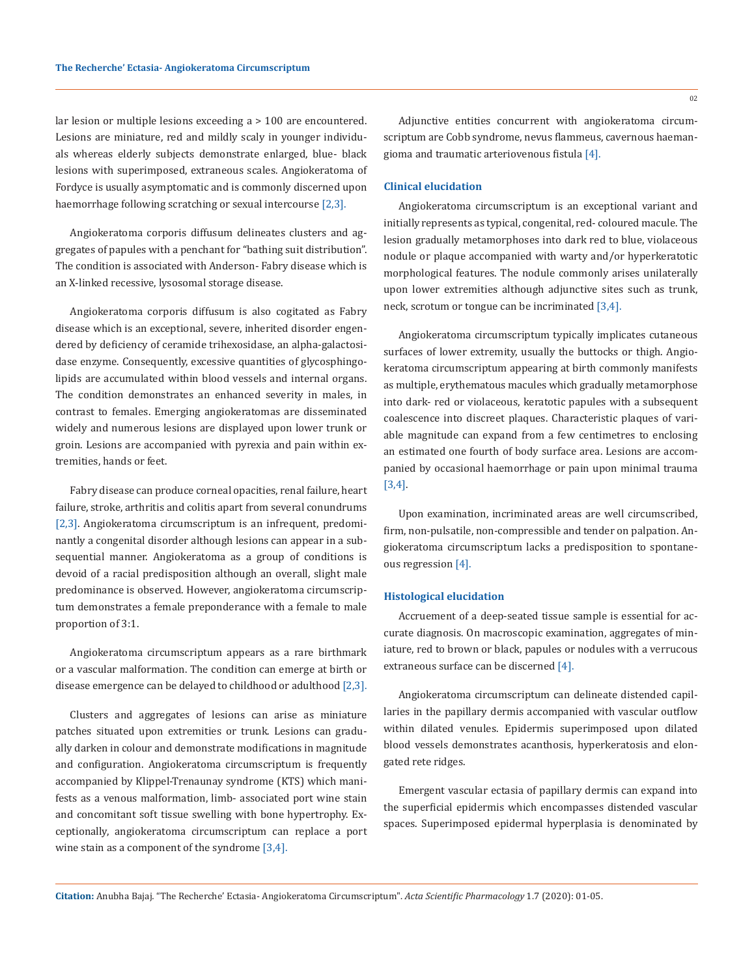lar lesion or multiple lesions exceeding a > 100 are encountered. Lesions are miniature, red and mildly scaly in younger individuals whereas elderly subjects demonstrate enlarged, blue- black lesions with superimposed, extraneous scales. Angiokeratoma of Fordyce is usually asymptomatic and is commonly discerned upon haemorrhage following scratching or sexual intercourse [2,3].

Angiokeratoma corporis diffusum delineates clusters and aggregates of papules with a penchant for "bathing suit distribution". The condition is associated with Anderson- Fabry disease which is an X-linked recessive, lysosomal storage disease.

Angiokeratoma corporis diffusum is also cogitated as Fabry disease which is an exceptional, severe, inherited disorder engendered by deficiency of ceramide trihexosidase, an alpha-galactosidase enzyme. Consequently, excessive quantities of glycosphingolipids are accumulated within blood vessels and internal organs. The condition demonstrates an enhanced severity in males, in contrast to females. Emerging angiokeratomas are disseminated widely and numerous lesions are displayed upon lower trunk or groin. Lesions are accompanied with pyrexia and pain within extremities, hands or feet.

Fabry disease can produce corneal opacities, renal failure, heart failure, stroke, arthritis and colitis apart from several conundrums [2,3]. Angiokeratoma circumscriptum is an infrequent, predominantly a congenital disorder although lesions can appear in a subsequential manner. Angiokeratoma as a group of conditions is devoid of a racial predisposition although an overall, slight male predominance is observed. However, angiokeratoma circumscriptum demonstrates a female preponderance with a female to male proportion of 3:1.

Angiokeratoma circumscriptum appears as a rare birthmark or a vascular malformation. The condition can emerge at birth or disease emergence can be delayed to childhood or adulthood [2,3].

Clusters and aggregates of lesions can arise as miniature patches situated upon extremities or trunk. Lesions can gradually darken in colour and demonstrate modifications in magnitude and configuration. Angiokeratoma circumscriptum is frequently accompanied by Klippel-Trenaunay syndrome (KTS) which manifests as a venous malformation, limb- associated port wine stain and concomitant soft tissue swelling with bone hypertrophy. Exceptionally, angiokeratoma circumscriptum can replace a port wine stain as a component of the syndrome [3,4].

Adjunctive entities concurrent with angiokeratoma circumscriptum are Cobb syndrome, nevus flammeus, cavernous haemangioma and traumatic arteriovenous fistula [4].

# **Clinical elucidation**

Angiokeratoma circumscriptum is an exceptional variant and initially represents as typical, congenital, red- coloured macule. The lesion gradually metamorphoses into dark red to blue, violaceous nodule or plaque accompanied with warty and/or hyperkeratotic morphological features. The nodule commonly arises unilaterally upon lower extremities although adjunctive sites such as trunk, neck, scrotum or tongue can be incriminated [3,4].

Angiokeratoma circumscriptum typically implicates cutaneous surfaces of lower extremity, usually the buttocks or thigh. Angiokeratoma circumscriptum appearing at birth commonly manifests as multiple, erythematous macules which gradually metamorphose into dark- red or violaceous, keratotic papules with a subsequent coalescence into discreet plaques. Characteristic plaques of variable magnitude can expand from a few centimetres to enclosing an estimated one fourth of body surface area. Lesions are accompanied by occasional haemorrhage or pain upon minimal trauma [3,4].

Upon examination, incriminated areas are well circumscribed, firm, non-pulsatile, non-compressible and tender on palpation. Angiokeratoma circumscriptum lacks a predisposition to spontaneous regression [4].

#### **Histological elucidation**

Accruement of a deep-seated tissue sample is essential for accurate diagnosis. On macroscopic examination, aggregates of miniature, red to brown or black, papules or nodules with a verrucous extraneous surface can be discerned [4].

Angiokeratoma circumscriptum can delineate distended capillaries in the papillary dermis accompanied with vascular outflow within dilated venules. Epidermis superimposed upon dilated blood vessels demonstrates acanthosis, hyperkeratosis and elongated rete ridges.

Emergent vascular ectasia of papillary dermis can expand into the superficial epidermis which encompasses distended vascular spaces. Superimposed epidermal hyperplasia is denominated by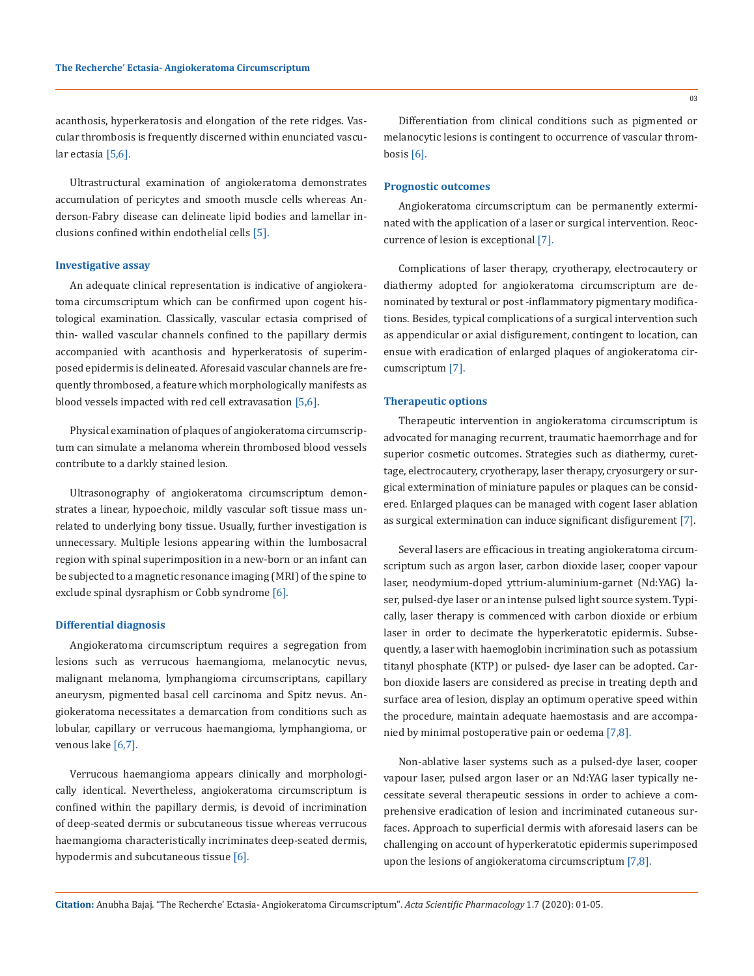acanthosis, hyperkeratosis and elongation of the rete ridges. Vascular thrombosis is frequently discerned within enunciated vascular ectasia [5,6].

Ultrastructural examination of angiokeratoma demonstrates accumulation of pericytes and smooth muscle cells whereas Anderson-Fabry disease can delineate lipid bodies and lamellar inclusions confined within endothelial cells [5].

#### **Investigative assay**

An adequate clinical representation is indicative of angiokeratoma circumscriptum which can be confirmed upon cogent histological examination. Classically, vascular ectasia comprised of thin- walled vascular channels confined to the papillary dermis accompanied with acanthosis and hyperkeratosis of superimposed epidermis is delineated. Aforesaid vascular channels are frequently thrombosed, a feature which morphologically manifests as blood vessels impacted with red cell extravasation [5,6].

Physical examination of plaques of angiokeratoma circumscriptum can simulate a melanoma wherein thrombosed blood vessels contribute to a darkly stained lesion.

Ultrasonography of angiokeratoma circumscriptum demonstrates a linear, hypoechoic, mildly vascular soft tissue mass unrelated to underlying bony tissue. Usually, further investigation is unnecessary. Multiple lesions appearing within the lumbosacral region with spinal superimposition in a new-born or an infant can be subjected to a magnetic resonance imaging (MRI) of the spine to exclude spinal dysraphism or Cobb syndrome [6].

#### **Differential diagnosis**

Angiokeratoma circumscriptum requires a segregation from lesions such as verrucous haemangioma, melanocytic nevus, malignant melanoma, lymphangioma circumscriptans, capillary aneurysm, pigmented basal cell carcinoma and Spitz nevus. Angiokeratoma necessitates a demarcation from conditions such as lobular, capillary or verrucous haemangioma, lymphangioma, or venous lake [6,7].

Verrucous haemangioma appears clinically and morphologically identical. Nevertheless, angiokeratoma circumscriptum is confined within the papillary dermis, is devoid of incrimination of deep-seated dermis or subcutaneous tissue whereas verrucous haemangioma characteristically incriminates deep-seated dermis, hypodermis and subcutaneous tissue [6].

Differentiation from clinical conditions such as pigmented or melanocytic lesions is contingent to occurrence of vascular thrombosis [6].

#### **Prognostic outcomes**

Angiokeratoma circumscriptum can be permanently exterminated with the application of a laser or surgical intervention. Reoccurrence of lesion is exceptional [7].

Complications of laser therapy, cryotherapy, electrocautery or diathermy adopted for angiokeratoma circumscriptum are denominated by textural or post -inflammatory pigmentary modifications. Besides, typical complications of a surgical intervention such as appendicular or axial disfigurement, contingent to location, can ensue with eradication of enlarged plaques of angiokeratoma circumscriptum [7].

#### **Therapeutic options**

Therapeutic intervention in angiokeratoma circumscriptum is advocated for managing recurrent, traumatic haemorrhage and for superior cosmetic outcomes. Strategies such as diathermy, curettage, electrocautery, cryotherapy, laser therapy, cryosurgery or surgical extermination of miniature papules or plaques can be considered. Enlarged plaques can be managed with cogent laser ablation as surgical extermination can induce significant disfigurement [7].

Several lasers are efficacious in treating angiokeratoma circumscriptum such as argon laser, carbon dioxide laser, cooper vapour laser, neodymium-doped yttrium-aluminium-garnet (Nd:YAG) laser, pulsed-dye laser or an intense pulsed light source system. Typically, laser therapy is commenced with carbon dioxide or erbium laser in order to decimate the hyperkeratotic epidermis. Subsequently, a laser with haemoglobin incrimination such as potassium titanyl phosphate (KTP) or pulsed- dye laser can be adopted. Carbon dioxide lasers are considered as precise in treating depth and surface area of lesion, display an optimum operative speed within the procedure, maintain adequate haemostasis and are accompanied by minimal postoperative pain or oedema [7,8].

Non-ablative laser systems such as a pulsed-dye laser, cooper vapour laser, pulsed argon laser or an Nd:YAG laser typically necessitate several therapeutic sessions in order to achieve a comprehensive eradication of lesion and incriminated cutaneous surfaces. Approach to superficial dermis with aforesaid lasers can be challenging on account of hyperkeratotic epidermis superimposed upon the lesions of angiokeratoma circumscriptum [7,8].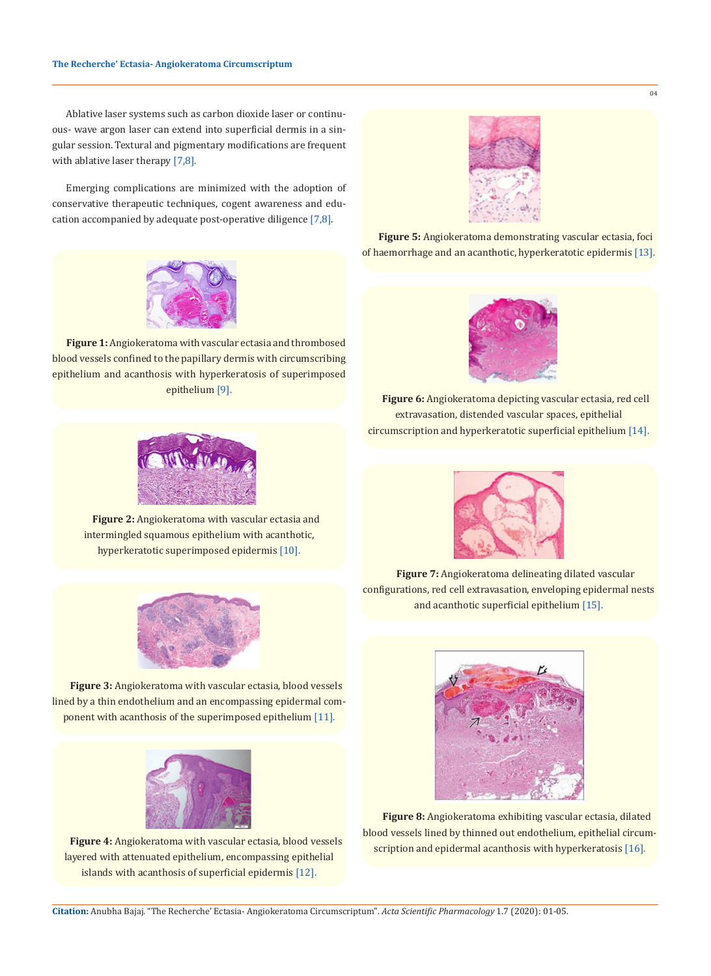Ablative laser systems such as carbon dioxide laser or continuous- wave argon laser can extend into superficial dermis in a singular session. Textural and pigmentary modifications are frequent with ablative laser therapy [7,8].

Emerging complications are minimized with the adoption of conservative therapeutic techniques, cogent awareness and education accompanied by adequate post-operative diligence [7,8].



**Figure 1:** Angiokeratoma with vascular ectasia and thrombosed blood vessels confined to the papillary dermis with circumscribing epithelium and acanthosis with hyperkeratosis of superimposed epithelium [9].



**Figure 2:** Angiokeratoma with vascular ectasia and intermingled squamous epithelium with acanthotic, hyperkeratotic superimposed epidermis [10].



**Figure 3:** Angiokeratoma with vascular ectasia, blood vessels lined by a thin endothelium and an encompassing epidermal component with acanthosis of the superimposed epithelium [11].



**Figure 4:** Angiokeratoma with vascular ectasia, blood vessels layered with attenuated epithelium, encompassing epithelial islands with acanthosis of superficial epidermis [12].



04

**Figure 5:** Angiokeratoma demonstrating vascular ectasia, foci of haemorrhage and an acanthotic, hyperkeratotic epidermis [13].



**Figure 6:** Angiokeratoma depicting vascular ectasia, red cell extravasation, distended vascular spaces, epithelial circumscription and hyperkeratotic superficial epithelium [14].



**Figure 7:** Angiokeratoma delineating dilated vascular configurations, red cell extravasation, enveloping epidermal nests and acanthotic superficial epithelium [15].



**Figure 8:** Angiokeratoma exhibiting vascular ectasia, dilated blood vessels lined by thinned out endothelium, epithelial circumscription and epidermal acanthosis with hyperkeratosis [16].